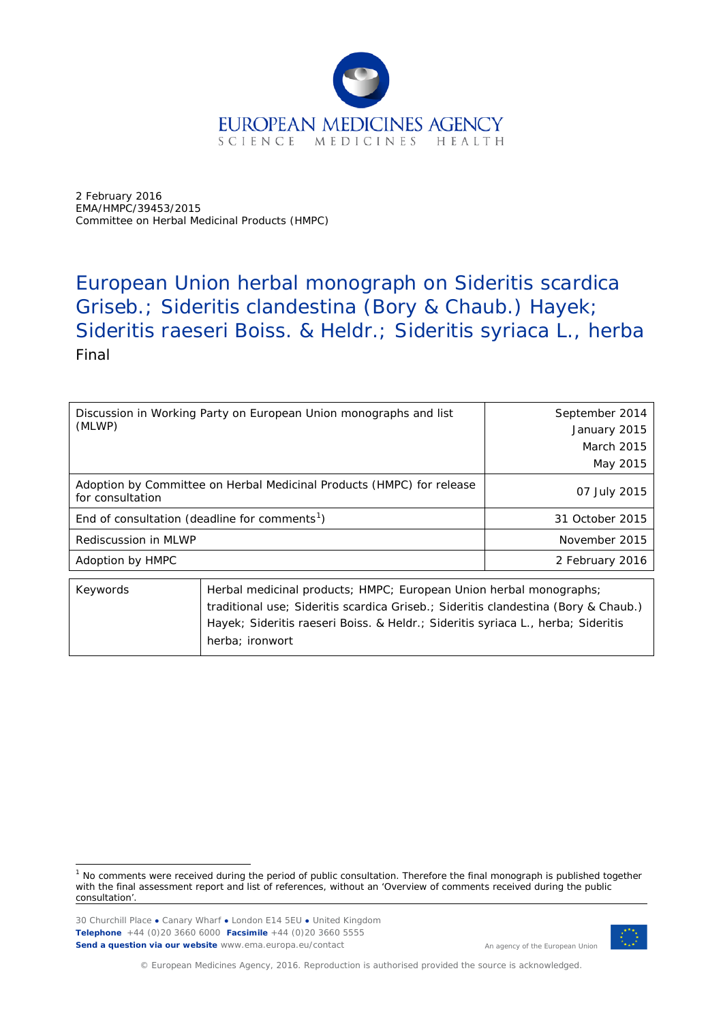

2 February 2016 EMA/HMPC/39453/2015 Committee on Herbal Medicinal Products (HMPC)

# European Union herbal monograph on *Sideritis scardica*  Griseb.*; Sideritis clandestina* (Bory & Chaub.) Hayek*; Sideritis raeseri* Boiss. & Heldr.; *Sideritis syriaca* L.*,* herba Final

| Discussion in Working Party on European Union monographs and list |                                                                       | September 2014    |
|-------------------------------------------------------------------|-----------------------------------------------------------------------|-------------------|
| (MLWP)                                                            |                                                                       | January 2015      |
|                                                                   |                                                                       | <b>March 2015</b> |
|                                                                   |                                                                       | May 2015          |
| for consultation                                                  | Adoption by Committee on Herbal Medicinal Products (HMPC) for release | 07 July 2015      |
| End of consultation (deadline for comments <sup>1</sup> )         |                                                                       | 31 October 2015   |
| Rediscussion in MLWP                                              |                                                                       | November 2015     |
| Adoption by HMPC                                                  |                                                                       | 2 February 2016   |
| KAWARAS                                                           | Herbal medicinal products: HMPC: European Union berbal monographs:    |                   |

| Keywords | Herbal medicinal products; HMPC; European Union herbal monographs;                 |
|----------|------------------------------------------------------------------------------------|
|          | traditional use; Sideritis scardica Griseb.; Sideritis clandestina (Bory & Chaub.) |
|          | Hayek; Sideritis raeseri Boiss. & Heldr.; Sideritis syriaca L., herba; Sideritis   |
|          | herba: ironwort                                                                    |
|          |                                                                                    |

30 Churchill Place **●** Canary Wharf **●** London E14 5EU **●** United Kingdom **Telephone** +44 (0)20 3660 6000 **Facsimile** +44 (0)20 3660 5555 **Send a question via our website** www.ema.europa.eu/contact



An agency of the European Union

© European Medicines Agency, 2016. Reproduction is authorised provided the source is acknowledged.

<span id="page-0-0"></span> $<sup>1</sup>$  No comments were received during the period of public consultation. Therefore the final monograph is published together</sup> with the final assessment report and list of references, without an 'Overview of comments received during the public consultation'.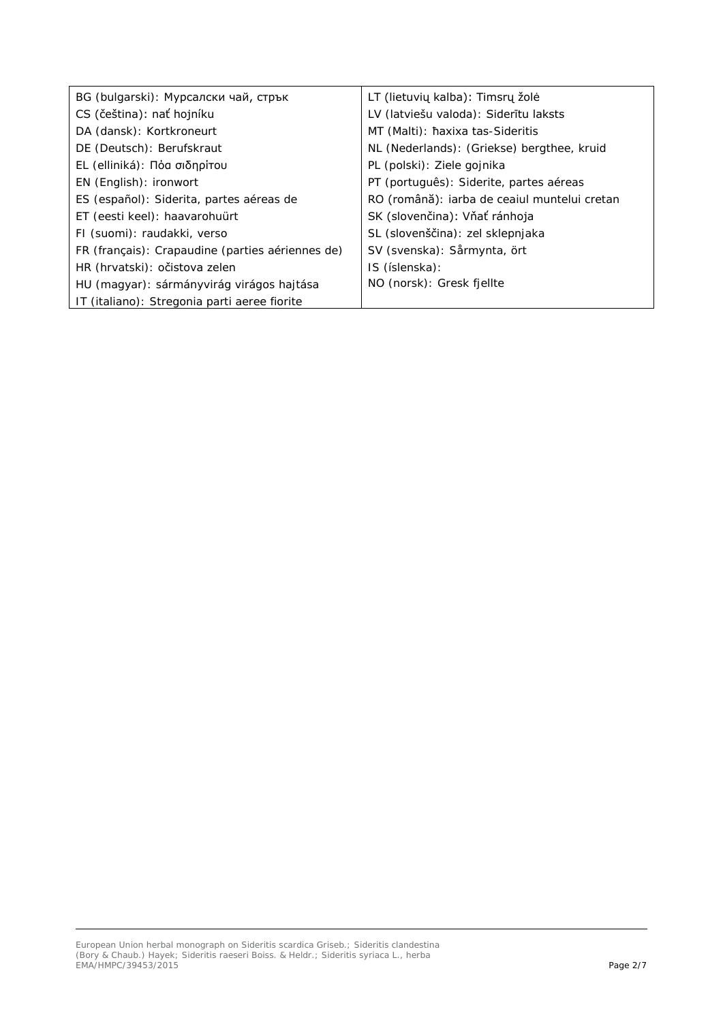| BG (bulgarski): Мурсалски чай, стрък             | LT (lietuvių kalba): Timsrų žolė             |
|--------------------------------------------------|----------------------------------------------|
| CS (čeština): nať hojníku                        | LV (latviešu valoda): Siderītu laksts        |
| DA (dansk): Kortkroneurt                         | MT (Malti): haxixa tas-Sideritis             |
| DE (Deutsch): Berufskraut                        | NL (Nederlands): (Griekse) bergthee, kruid   |
| EL (elliniká): Πόα σιδηρίτου                     | PL (polski): Ziele gojnika                   |
| EN (English): ironwort                           | PT (português): Siderite, partes aéreas      |
| ES (español): Siderita, partes aéreas de         | RO (română): iarba de ceaiul muntelui cretan |
| ET (eesti keel): haavarohuürt                    | SK (slovenčina): Vňať ránhoja                |
| FI (suomi): raudakki, verso                      | SL (slovenščina): zel sklepnjaka             |
| FR (français): Crapaudine (parties aériennes de) | SV (svenska): Sårmynta, ört                  |
| HR (hrvatski): očistova zelen                    | IS (íslenska):                               |
| HU (magyar): sármányvirág virágos hajtása        | NO (norsk): Gresk fjellte                    |
| IT (italiano): Stregonia parti aeree fiorite     |                                              |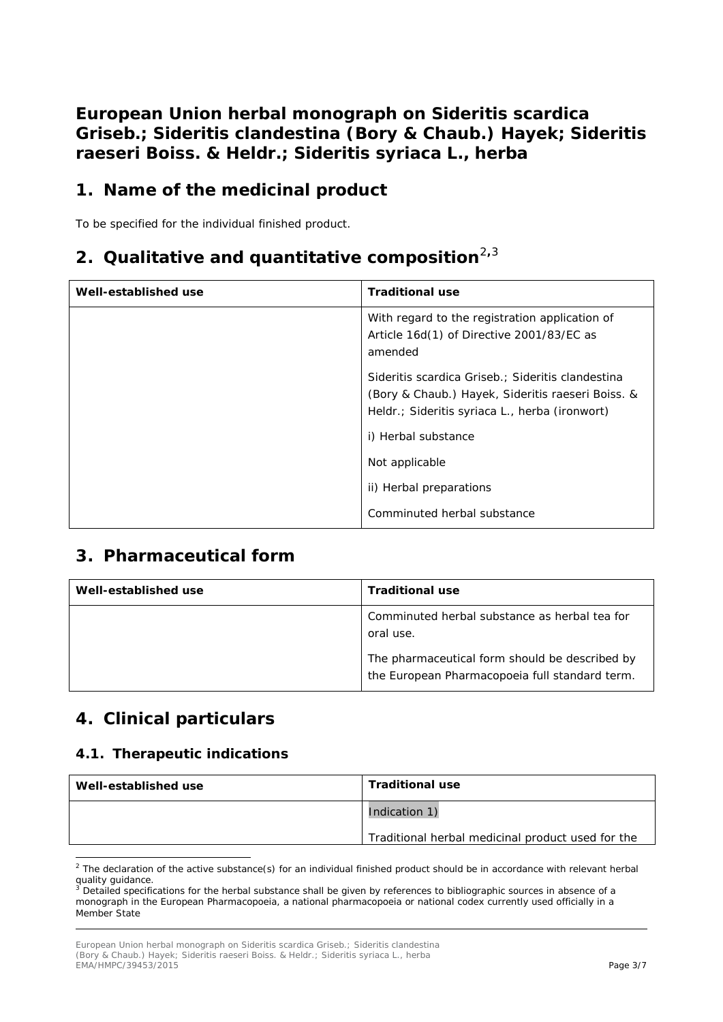**European Union herbal monograph on** *Sideritis scardica*  **Griseb.;** *Sideritis clandestina* **(Bory & Chaub.) Hayek;** *Sideritis raeseri* **Boiss. & Heldr.;** *Sideritis syriaca* **L., herba**

### **1. Name of the medicinal product**

To be specified for the individual finished product.

### **2. Qualitative and quantitative composition**[2](#page-2-0)**,**[3](#page-2-1)

| Well-established use | <b>Traditional use</b>                                                                                                                                   |
|----------------------|----------------------------------------------------------------------------------------------------------------------------------------------------------|
|                      | With regard to the registration application of<br>Article 16d(1) of Directive 2001/83/EC as<br>amended                                                   |
|                      | Sideritis scardica Griseb.; Sideritis clandestina<br>(Bory & Chaub.) Hayek, Sideritis raeseri Boiss. &<br>Heldr.; Sideritis syriaca L., herba (ironwort) |
|                      | i) Herbal substance                                                                                                                                      |
|                      | Not applicable                                                                                                                                           |
|                      | ii) Herbal preparations                                                                                                                                  |
|                      | Comminuted herbal substance                                                                                                                              |

### **3. Pharmaceutical form**

| Well-established use | <b>Traditional use</b>                                                                           |
|----------------------|--------------------------------------------------------------------------------------------------|
|                      | Comminuted herbal substance as herbal tea for<br>oral use.                                       |
|                      | The pharmaceutical form should be described by<br>the European Pharmacopoeia full standard term. |

### **4. Clinical particulars**

#### *4.1. Therapeutic indications*

| Well-established use | <b>Traditional use</b>                            |
|----------------------|---------------------------------------------------|
|                      | Indication 1)                                     |
|                      | Traditional herbal medicinal product used for the |

<span id="page-2-0"></span> $2$  The declaration of the active substance(s) for an individual finished product should be in accordance with relevant herbal quality guidance.

<span id="page-2-1"></span>Detailed specifications for the herbal substance shall be given by references to bibliographic sources in absence of a monograph in the European Pharmacopoeia, a national pharmacopoeia or national codex currently used officially in a Member State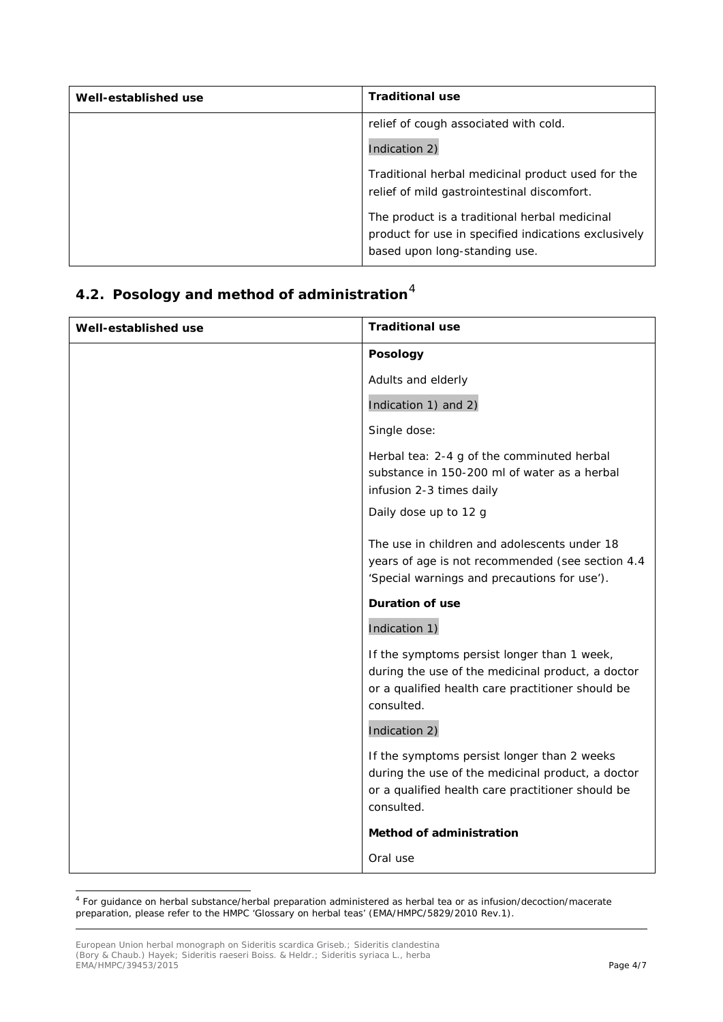| Well-established use | <b>Traditional use</b>                                                                                                                 |
|----------------------|----------------------------------------------------------------------------------------------------------------------------------------|
|                      | relief of cough associated with cold.                                                                                                  |
|                      | Indication 2)                                                                                                                          |
|                      | Traditional herbal medicinal product used for the<br>relief of mild gastrointestinal discomfort.                                       |
|                      | The product is a traditional herbal medicinal<br>product for use in specified indications exclusively<br>based upon long-standing use. |

## *4.2. Posology and method of administration*[4](#page-3-0)

| Well-established use | <b>Traditional use</b>                                                                                                                                              |
|----------------------|---------------------------------------------------------------------------------------------------------------------------------------------------------------------|
|                      | Posology                                                                                                                                                            |
|                      | Adults and elderly                                                                                                                                                  |
|                      | Indication 1) and 2)                                                                                                                                                |
|                      | Single dose:                                                                                                                                                        |
|                      | Herbal tea: 2-4 g of the comminuted herbal<br>substance in 150-200 ml of water as a herbal<br>infusion 2-3 times daily                                              |
|                      | Daily dose up to 12 g                                                                                                                                               |
|                      | The use in children and adolescents under 18<br>years of age is not recommended (see section 4.4<br>'Special warnings and precautions for use').                    |
|                      | <b>Duration of use</b>                                                                                                                                              |
|                      | Indication 1)                                                                                                                                                       |
|                      | If the symptoms persist longer than 1 week,<br>during the use of the medicinal product, a doctor<br>or a qualified health care practitioner should be<br>consulted. |
|                      | Indication 2)                                                                                                                                                       |
|                      | If the symptoms persist longer than 2 weeks<br>during the use of the medicinal product, a doctor<br>or a qualified health care practitioner should be<br>consulted. |
|                      | Method of administration                                                                                                                                            |
|                      | Oral use                                                                                                                                                            |

<span id="page-3-0"></span> <sup>4</sup> For guidance on herbal substance/herbal preparation administered as herbal tea or as infusion/decoction/macerate preparation, please refer to the HMPC 'Glossary on herbal teas' (EMA/HMPC/5829/2010 Rev.1).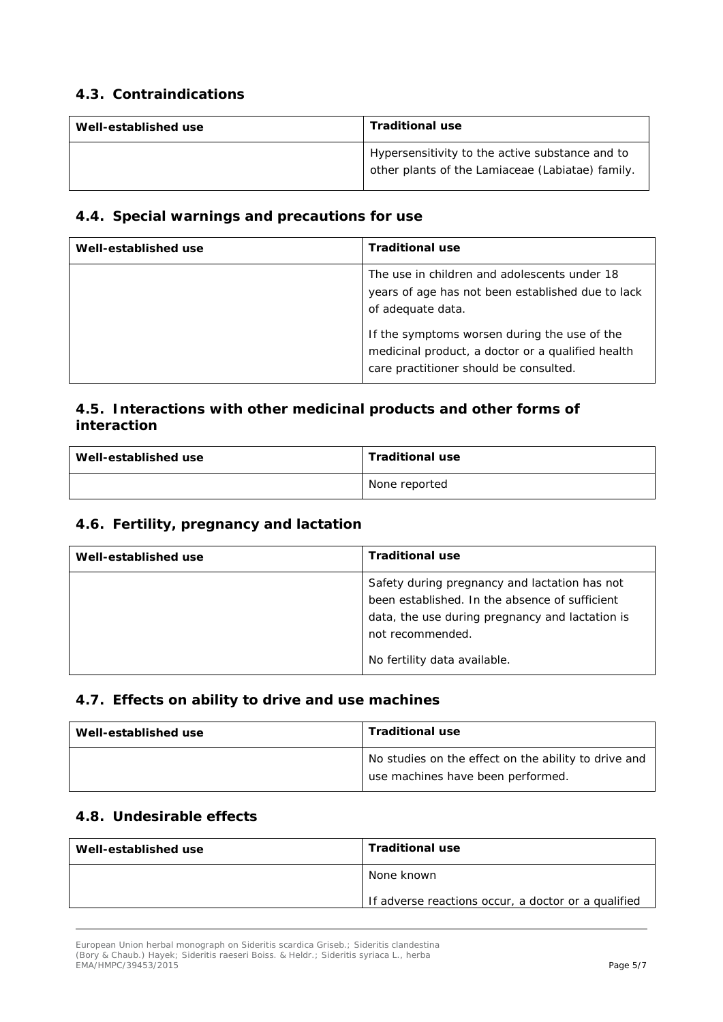#### *4.3. Contraindications*

| Well-established use | <b>Traditional use</b>                                                                              |
|----------------------|-----------------------------------------------------------------------------------------------------|
|                      | Hypersensitivity to the active substance and to<br>other plants of the Lamiaceae (Labiatae) family. |

#### *4.4. Special warnings and precautions for use*

| Well-established use | <b>Traditional use</b>                                                                                                                                                                                                                                                |
|----------------------|-----------------------------------------------------------------------------------------------------------------------------------------------------------------------------------------------------------------------------------------------------------------------|
|                      | The use in children and adolescents under 18<br>years of age has not been established due to lack<br>of adequate data.<br>If the symptoms worsen during the use of the<br>medicinal product, a doctor or a qualified health<br>care practitioner should be consulted. |

#### *4.5. Interactions with other medicinal products and other forms of interaction*

| Well-established use | <b>Traditional use</b> |
|----------------------|------------------------|
|                      | None reported          |

#### *4.6. Fertility, pregnancy and lactation*

| Well-established use | <b>Traditional use</b>                                                                                                                             |
|----------------------|----------------------------------------------------------------------------------------------------------------------------------------------------|
|                      | Safety during pregnancy and lactation has not<br>been established. In the absence of sufficient<br>data, the use during pregnancy and lactation is |
|                      | not recommended.<br>No fertility data available.                                                                                                   |

#### *4.7. Effects on ability to drive and use machines*

| Well-established use | <b>Traditional use</b>                                                                    |
|----------------------|-------------------------------------------------------------------------------------------|
|                      | No studies on the effect on the ability to drive and<br>use machines have been performed. |

#### *4.8. Undesirable effects*

| Well-established use | <b>Traditional use</b>                              |
|----------------------|-----------------------------------------------------|
|                      | None known                                          |
|                      | If adverse reactions occur, a doctor or a qualified |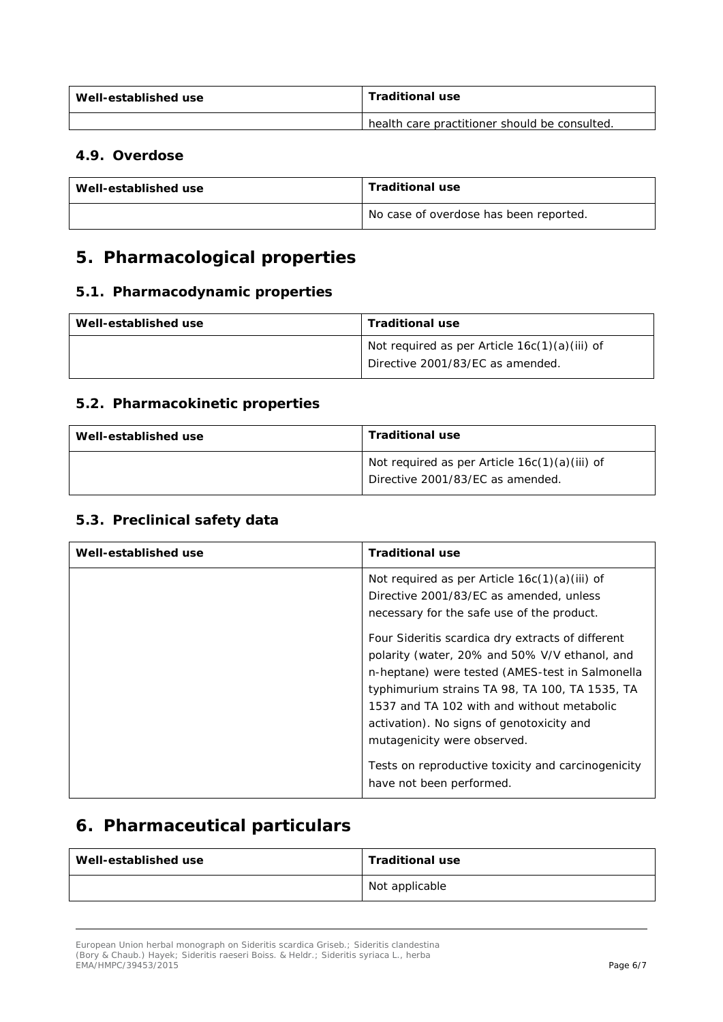| Well-established use | <b>Traditional use</b>                        |
|----------------------|-----------------------------------------------|
|                      | health care practitioner should be consulted. |

#### *4.9. Overdose*

| Well-established use | <b>Traditional use</b>                 |
|----------------------|----------------------------------------|
|                      | No case of overdose has been reported. |

### **5. Pharmacological properties**

#### *5.1. Pharmacodynamic properties*

| Well-established use | <b>Traditional use</b>                                                              |
|----------------------|-------------------------------------------------------------------------------------|
|                      | Not required as per Article $16c(1)(a)(iii)$ of<br>Directive 2001/83/EC as amended. |

#### *5.2. Pharmacokinetic properties*

| Well-established use | <b>Traditional use</b>                          |
|----------------------|-------------------------------------------------|
|                      | Not required as per Article $16c(1)(a)(iii)$ of |
|                      | Directive 2001/83/EC as amended.                |

#### *5.3. Preclinical safety data*

| Well-established use | <b>Traditional use</b>                                                                                                                                                                                                                                                            |
|----------------------|-----------------------------------------------------------------------------------------------------------------------------------------------------------------------------------------------------------------------------------------------------------------------------------|
|                      | Not required as per Article $16c(1)(a)(iii)$ of<br>Directive 2001/83/EC as amended, unless<br>necessary for the safe use of the product.<br>Four Sideritis scardica dry extracts of different<br>polarity (water, 20% and 50% V/V ethanol, and                                    |
|                      | n-heptane) were tested (AMES-test in Salmonella<br>typhimurium strains TA 98, TA 100, TA 1535, TA<br>1537 and TA 102 with and without metabolic<br>activation). No signs of genotoxicity and<br>mutagenicity were observed.<br>Tests on reproductive toxicity and carcinogenicity |
|                      | have not been performed.                                                                                                                                                                                                                                                          |

### **6. Pharmaceutical particulars**

| Well-established use | <b>Traditional use</b> |
|----------------------|------------------------|
|                      | Not applicable         |